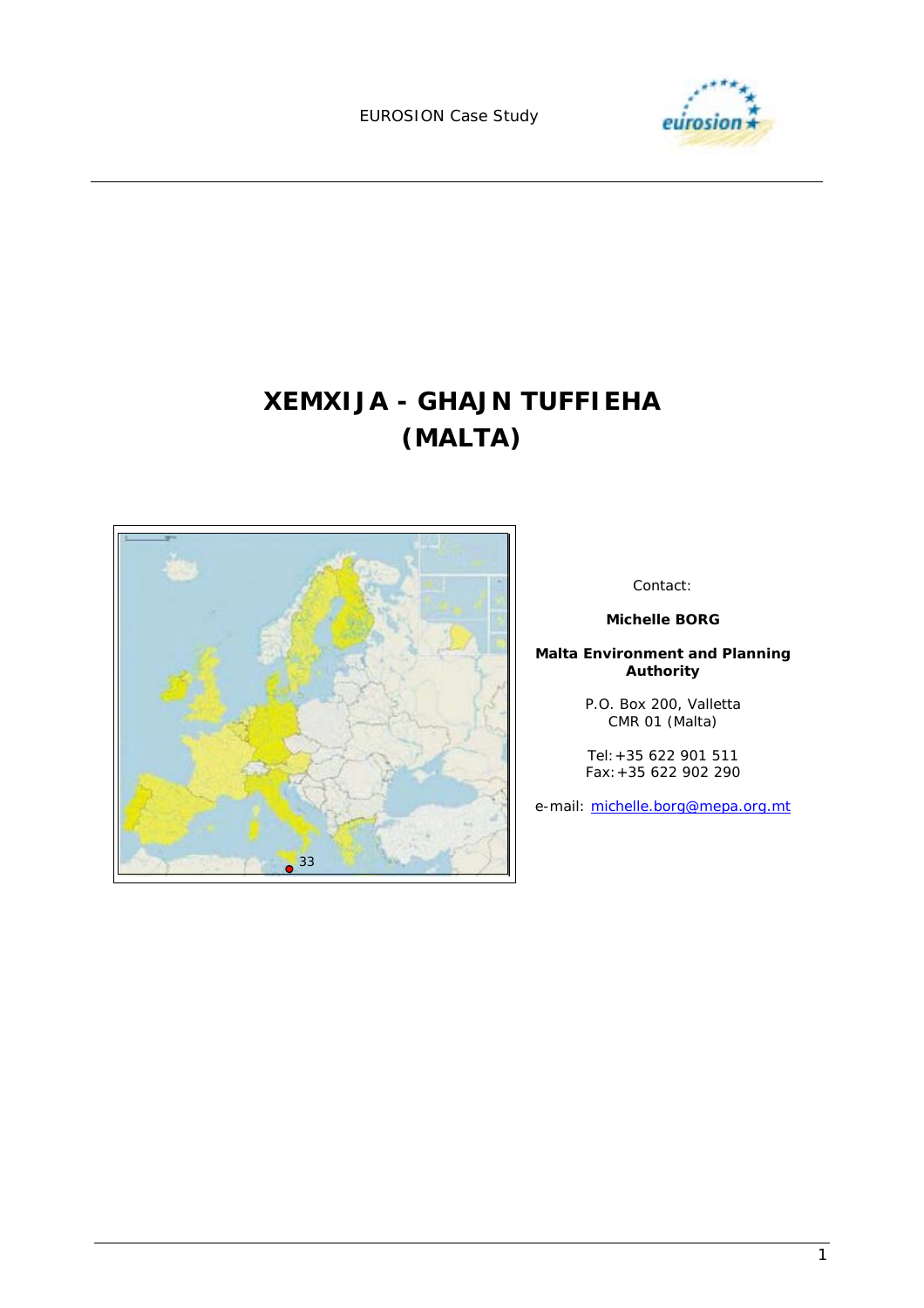EUROSION Case Study



# **XEMXIJA - GHAJN TUFFIEHA (MALTA)**



Contact:

**Michelle BORG** 

**Malta Environment and Planning Authority** 

> P.O. Box 200, Valletta CMR 01 (Malta)

> Tel:+35 622 901 511 Fax:+35 622 902 290

e-mail: michelle.borg@mepa.org.mt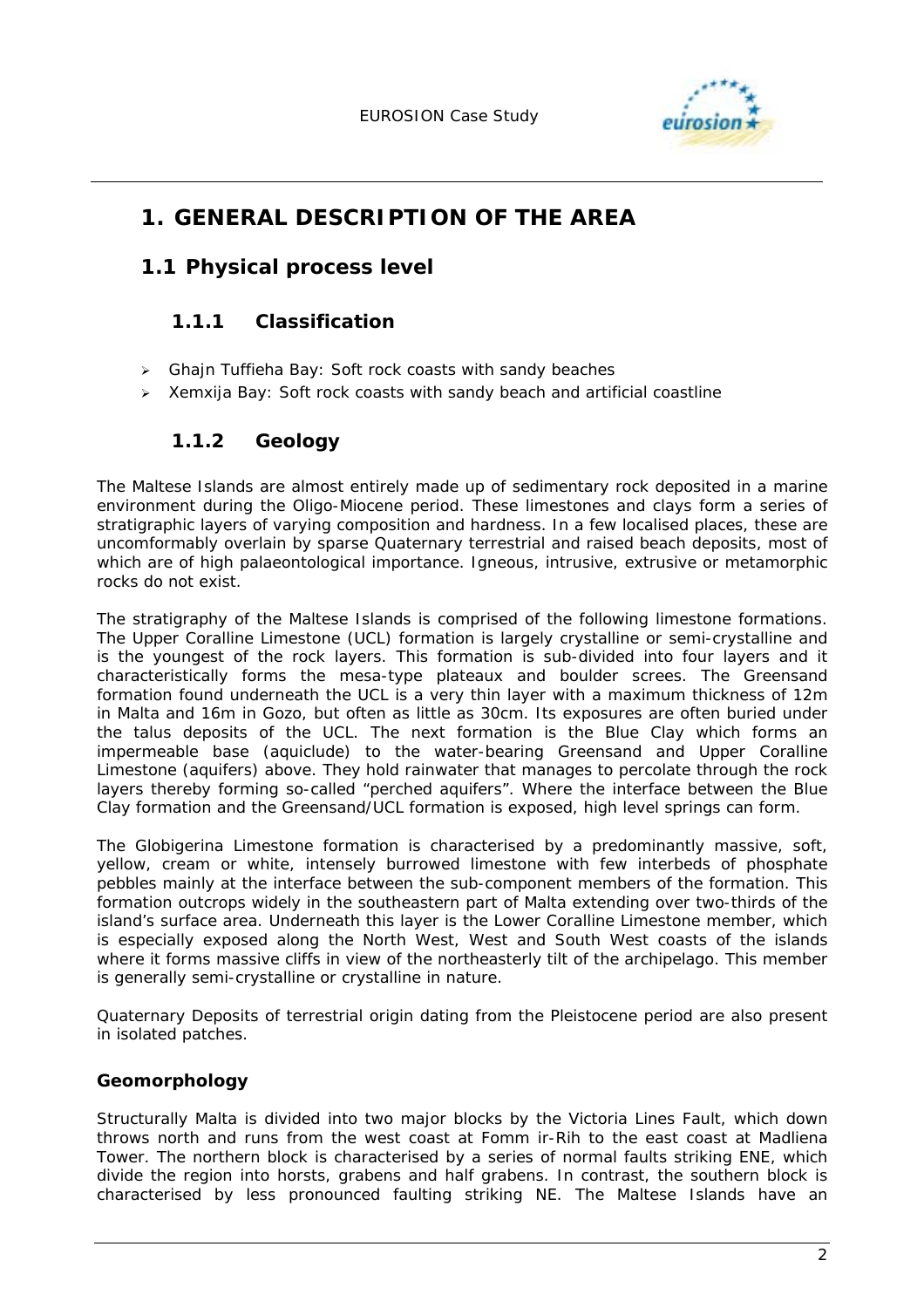

# **1. GENERAL DESCRIPTION OF THE AREA**

### **1.1 Physical process level**

### **1.1.1 Classification**

- $\triangleright$  Ghajn Tuffieha Bay: Soft rock coasts with sandy beaches
- $\triangleright$  Xemxija Bay: Soft rock coasts with sandy beach and artificial coastline

### **1.1.2 Geology**

The Maltese Islands are almost entirely made up of sedimentary rock deposited in a marine environment during the Oligo-Miocene period. These limestones and clays form a series of stratigraphic layers of varying composition and hardness. In a few localised places, these are uncomformably overlain by sparse Quaternary terrestrial and raised beach deposits, most of which are of high palaeontological importance. Igneous, intrusive, extrusive or metamorphic rocks do not exist.

The stratigraphy of the Maltese Islands is comprised of the following limestone formations. The Upper Coralline Limestone (UCL) formation is largely crystalline or semi-crystalline and is the youngest of the rock layers. This formation is sub-divided into four layers and it characteristically forms the mesa-type plateaux and boulder screes. The Greensand formation found underneath the UCL is a very thin layer with a maximum thickness of 12m in Malta and 16m in Gozo, but often as little as 30cm. Its exposures are often buried under the talus deposits of the UCL. The next formation is the Blue Clay which forms an impermeable base (aquiclude) to the water-bearing Greensand and Upper Coralline Limestone (aquifers) above. They hold rainwater that manages to percolate through the rock layers thereby forming so-called "perched aquifers". Where the interface between the Blue Clay formation and the Greensand/UCL formation is exposed, high level springs can form.

The Globigerina Limestone formation is characterised by a predominantly massive, soft, yellow, cream or white, intensely burrowed limestone with few interbeds of phosphate pebbles mainly at the interface between the sub-component members of the formation. This formation outcrops widely in the southeastern part of Malta extending over two-thirds of the island's surface area. Underneath this layer is the Lower Coralline Limestone member, which is especially exposed along the North West, West and South West coasts of the islands where it forms massive cliffs in view of the northeasterly tilt of the archipelago. This member is generally semi-crystalline or crystalline in nature.

Quaternary Deposits of terrestrial origin dating from the Pleistocene period are also present in isolated patches.

#### **Geomorphology**

Structurally Malta is divided into two major blocks by the Victoria Lines Fault, which down throws north and runs from the west coast at Fomm ir-Rih to the east coast at Madliena Tower. The northern block is characterised by a series of normal faults striking ENE, which divide the region into horsts, grabens and half grabens. In contrast, the southern block is characterised by less pronounced faulting striking NE. The Maltese Islands have an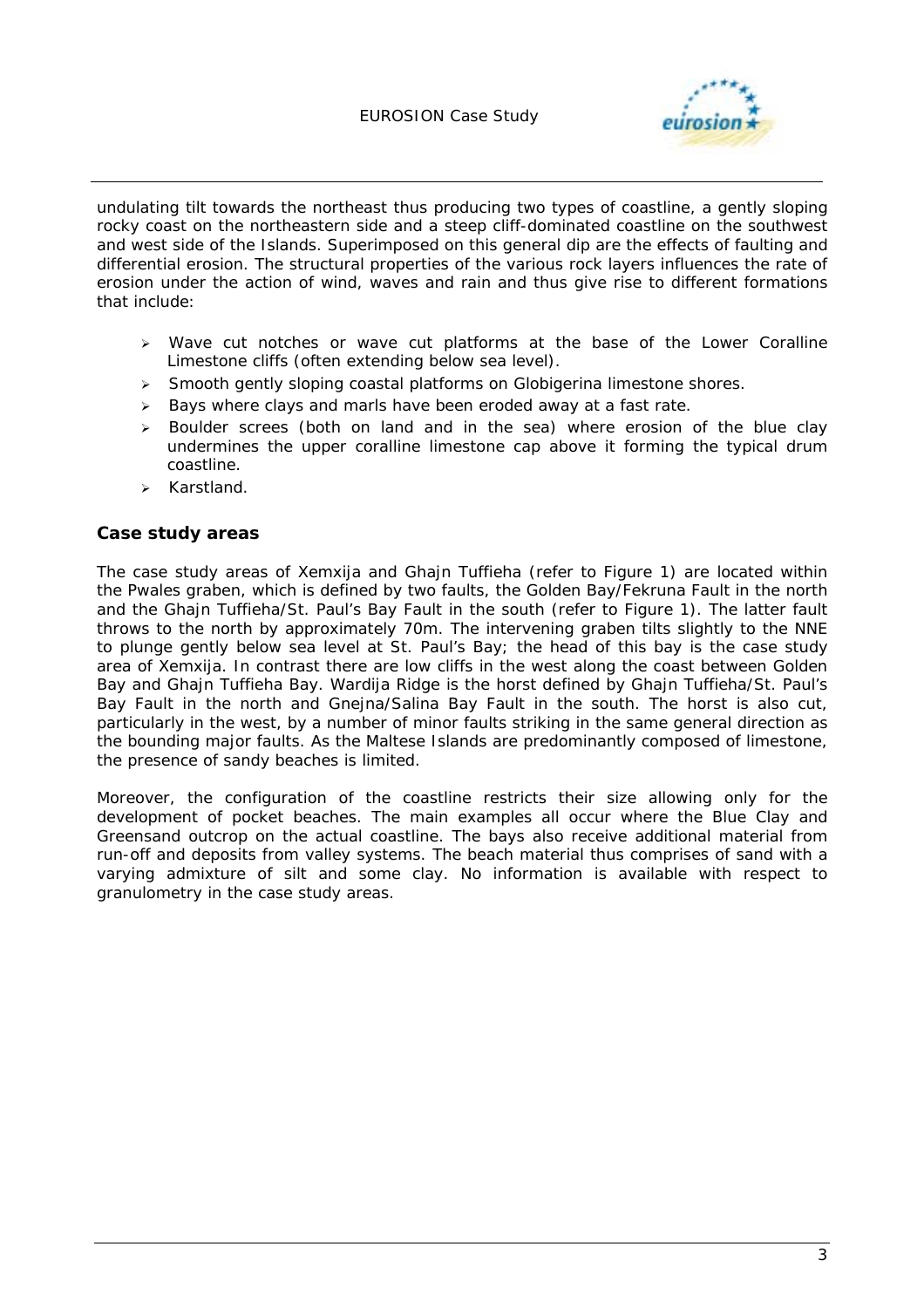

undulating tilt towards the northeast thus producing two types of coastline, a gently sloping rocky coast on the northeastern side and a steep cliff-dominated coastline on the southwest and west side of the Islands. Superimposed on this general dip are the effects of faulting and differential erosion. The structural properties of the various rock layers influences the rate of erosion under the action of wind, waves and rain and thus give rise to different formations that include:

- $\triangleright$  Wave cut notches or wave cut platforms at the base of the Lower Coralline Limestone cliffs (often extending below sea level).
- $\triangleright$  Smooth gently sloping coastal platforms on Globigerina limestone shores.
- $\triangleright$  Bays where clays and marls have been eroded away at a fast rate.
- $\triangleright$  Boulder screes (both on land and in the sea) where erosion of the blue clay undermines the upper coralline limestone cap above it forming the typical drum coastline.
- > Karstland.

#### **Case study areas**

The case study areas of Xemxija and Ghajn Tuffieha (refer to Figure 1) are located within the Pwales graben, which is defined by two faults, the Golden Bay/Fekruna Fault in the north and the Ghajn Tuffieha/St. Paul's Bay Fault in the south (refer to Figure 1). The latter fault throws to the north by approximately 70m. The intervening graben tilts slightly to the NNE to plunge gently below sea level at St. Paul's Bay; the head of this bay is the case study area of Xemxija. In contrast there are low cliffs in the west along the coast between Golden Bay and Ghajn Tuffieha Bay. Wardija Ridge is the horst defined by Ghajn Tuffieha/St. Paul's Bay Fault in the north and Gnejna/Salina Bay Fault in the south. The horst is also cut, particularly in the west, by a number of minor faults striking in the same general direction as the bounding major faults. As the Maltese Islands are predominantly composed of limestone, the presence of sandy beaches is limited.

Moreover, the configuration of the coastline restricts their size allowing only for the development of pocket beaches. The main examples all occur where the Blue Clay and Greensand outcrop on the actual coastline. The bays also receive additional material from run-off and deposits from valley systems. The beach material thus comprises of sand with a varying admixture of silt and some clay. No information is available with respect to granulometry in the case study areas.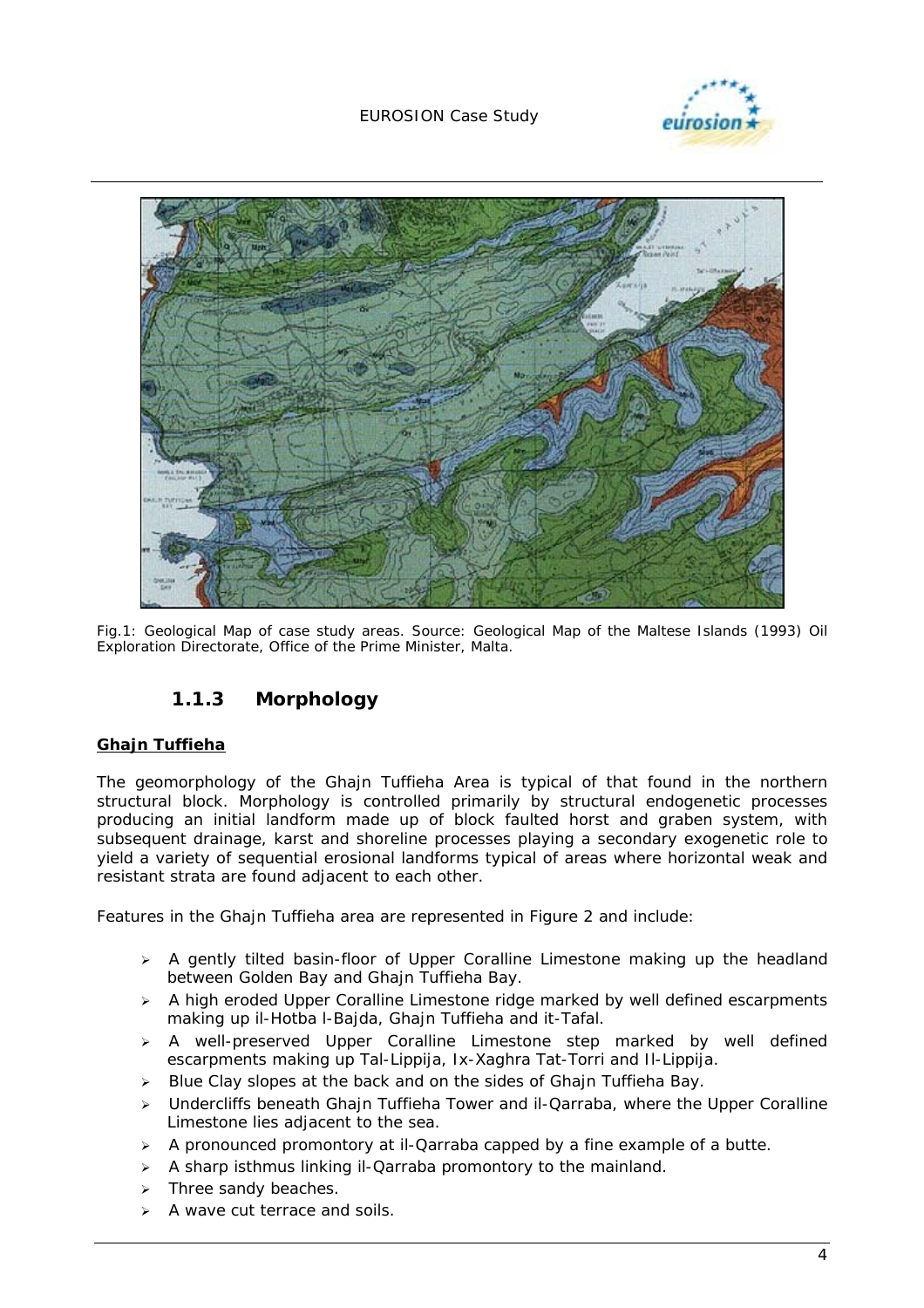#### EUROSION Case Study





*Fig.1: Geological Map of case study areas. Source: Geological Map of the Maltese Islands (1993) Oil Exploration Directorate, Office of the Prime Minister, Malta.* 

### **1.1.3 Morphology**

#### **Ghajn Tuffieha**

The geomorphology of the Ghajn Tuffieha Area is typical of that found in the northern structural block. Morphology is controlled primarily by structural endogenetic processes producing an initial landform made up of block faulted horst and graben system, with subsequent drainage, karst and shoreline processes playing a secondary exogenetic role to yield a variety of sequential erosional landforms typical of areas where horizontal weak and resistant strata are found adjacent to each other.

Features in the Ghajn Tuffieha area are represented in Figure 2 and include:

- $\triangleright$  A gently tilted basin-floor of Upper Coralline Limestone making up the headland between Golden Bay and Ghajn Tuffieha Bay.
- $\geq$  A high eroded Upper Coralline Limestone ridge marked by well defined escarpments making up il-Hotba l-Bajda, Ghajn Tuffieha and it-Tafal.
- > A well-preserved Upper Coralline Limestone step marked by well defined escarpments making up Tal-Lippija, Ix-Xaghra Tat-Torri and Il-Lippija.
- $\triangleright$  Blue Clay slopes at the back and on the sides of Ghain Tuffieha Bay.
- $\triangleright$  Undercliffs beneath Ghain Tuffieha Tower and il-Qarraba, where the Upper Coralline Limestone lies adjacent to the sea.
- $\triangleright$  A pronounced promontory at il-Qarraba capped by a fine example of a butte.
- $\triangleright$  A sharp isthmus linking il-Qarraba promontory to the mainland.
- $\triangleright$  Three sandy beaches.
- $\triangleright$  A wave cut terrace and soils.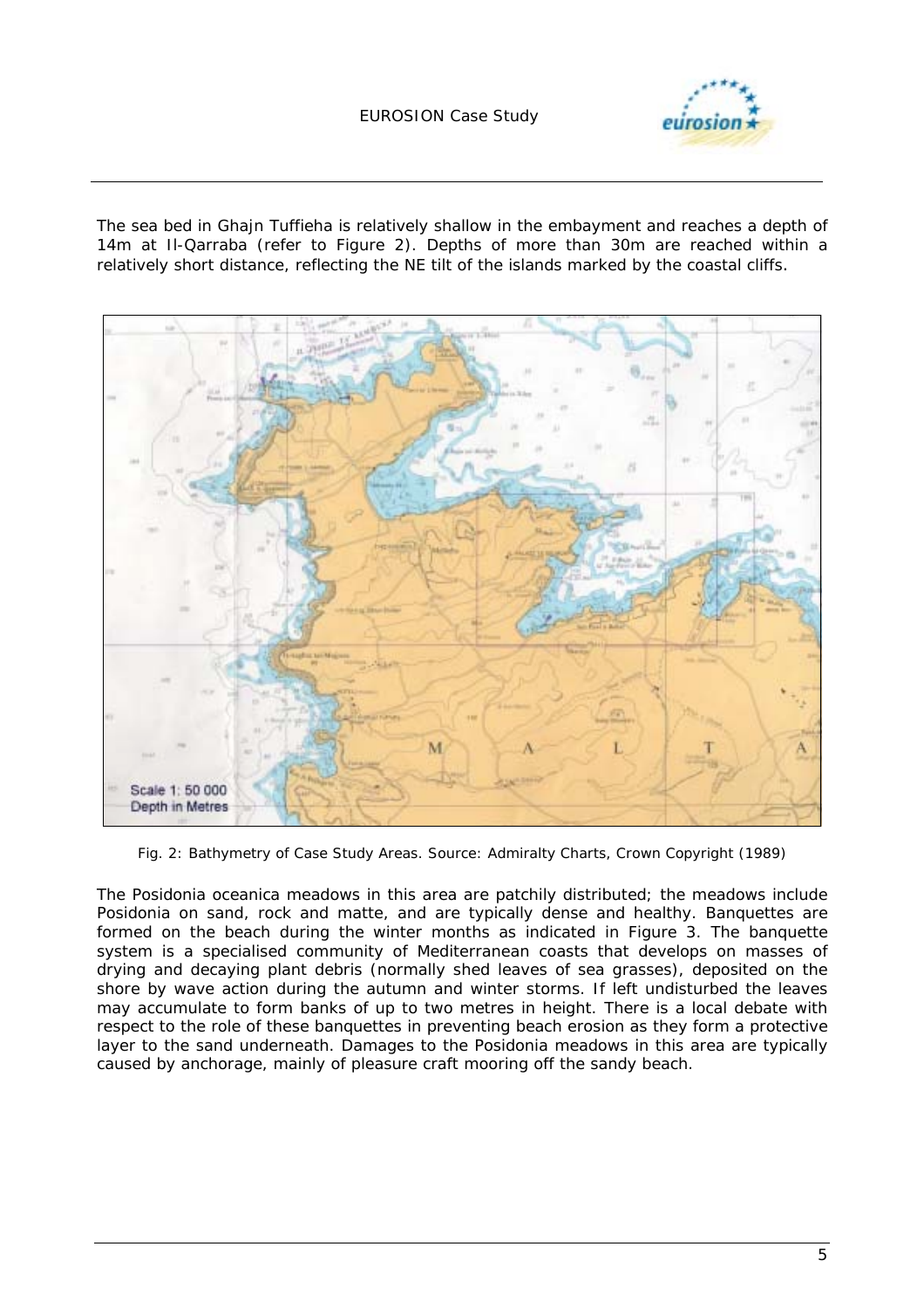

The sea bed in Ghajn Tuffieha is relatively shallow in the embayment and reaches a depth of 14m at Il-Qarraba (refer to Figure 2). Depths of more than 30m are reached within a relatively short distance, reflecting the NE tilt of the islands marked by the coastal cliffs*.* 



*Fig. 2: Bathymetry of Case Study Areas. Source: Admiralty Charts, Crown Copyright (1989)* 

The *Posidonia oceanica* meadows in this area are patchily distributed; the meadows include *Posidonia* on sand, rock and matte, and are typically dense and healthy. Banquettes are formed on the beach during the winter months as indicated in Figure 3. The banquette system is a specialised community of Mediterranean coasts that develops on masses of drying and decaying plant debris (normally shed leaves of sea grasses), deposited on the shore by wave action during the autumn and winter storms. If left undisturbed the leaves may accumulate to form banks of up to two metres in height. There is a local debate with respect to the role of these banquettes in preventing beach erosion as they form a protective layer to the sand underneath. Damages to the *Posidonia* meadows in this area are typically caused by anchorage, mainly of pleasure craft mooring off the sandy beach.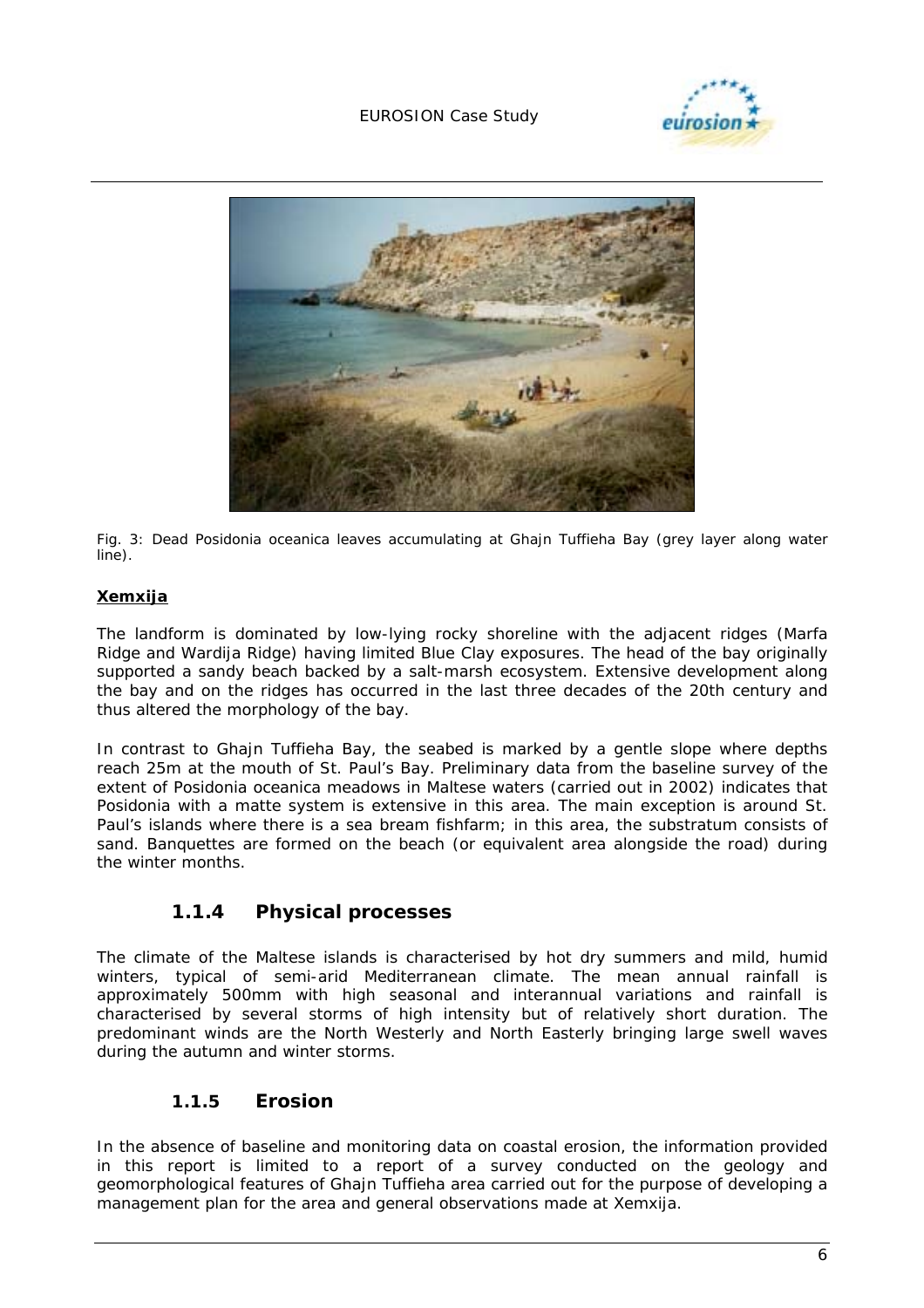#### EUROSION Case Study





*Fig. 3: Dead Posidonia oceanica leaves accumulating at Ghajn Tuffieha Bay (grey layer along water line).* 

#### **Xemxija**

The landform is dominated by low-lying rocky shoreline with the adjacent ridges (Marfa Ridge and Wardija Ridge) having limited Blue Clay exposures. The head of the bay originally supported a sandy beach backed by a salt-marsh ecosystem. Extensive development along the bay and on the ridges has occurred in the last three decades of the 20th century and thus altered the morphology of the bay.

In contrast to Ghajn Tuffieha Bay, the seabed is marked by a gentle slope where depths reach 25m at the mouth of St. Paul's Bay. Preliminary data from the baseline survey of the extent of *Posidonia oceanica* meadows in Maltese waters (carried out in 2002) indicates that *Posidonia* with a matte system is extensive in this area. The main exception is around St. Paul's islands where there is a sea bream fishfarm; in this area, the substratum consists of sand. Banquettes are formed on the beach (or equivalent area alongside the road) during the winter months.

#### **1.1.4 Physical processes**

The climate of the Maltese islands is characterised by hot dry summers and mild, humid winters, typical of semi-arid Mediterranean climate. The mean annual rainfall is approximately 500mm with high seasonal and interannual variations and rainfall is characterised by several storms of high intensity but of relatively short duration. The predominant winds are the North Westerly and North Easterly bringing large swell waves during the autumn and winter storms.

#### **1.1.5 Erosion**

In the absence of baseline and monitoring data on coastal erosion, the information provided in this report is limited to a report of a survey conducted on the geology and geomorphological features of Ghajn Tuffieha area carried out for the purpose of developing a management plan for the area and general observations made at Xemxija.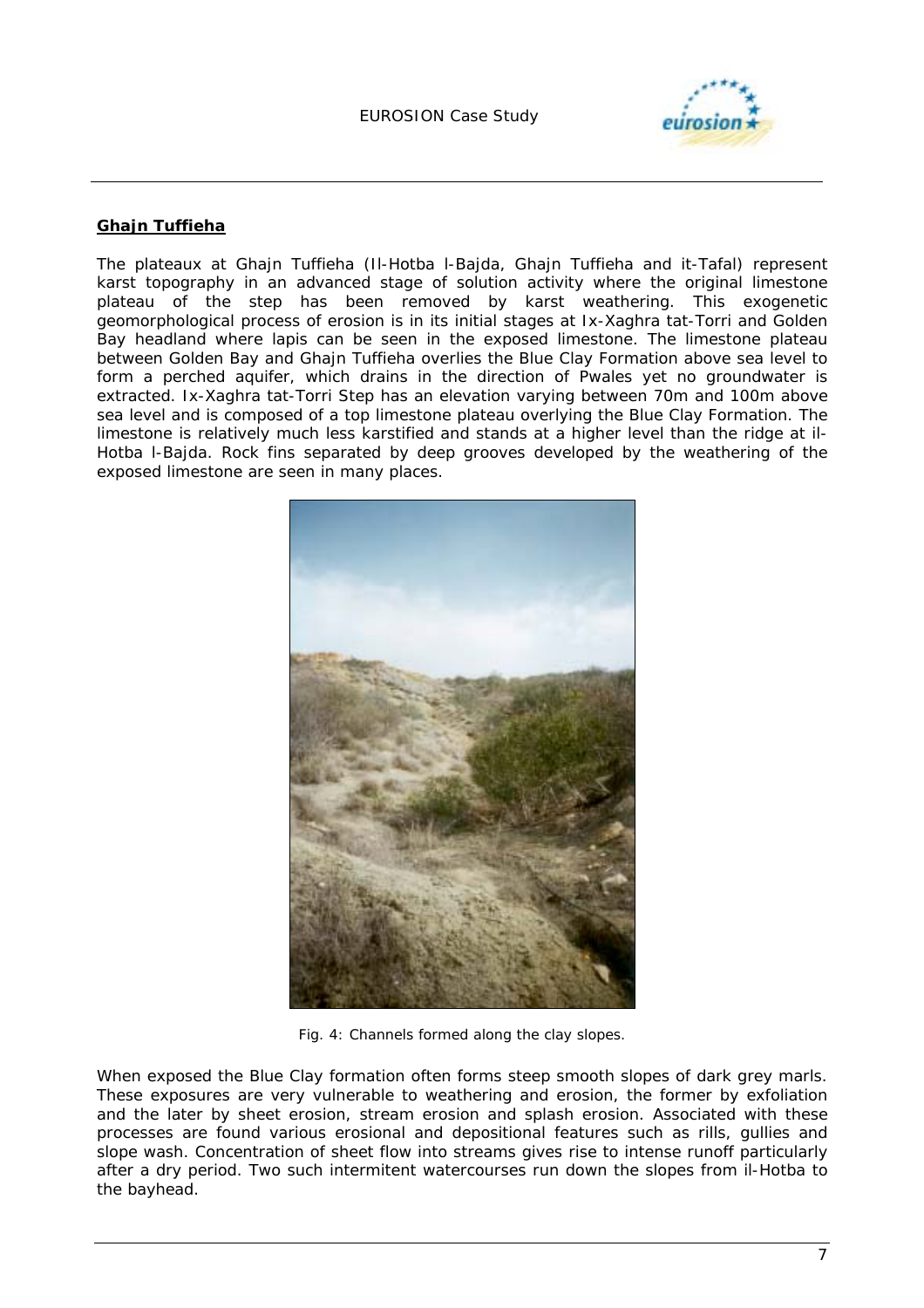

#### **Ghajn Tuffieha**

The plateaux at Ghajn Tuffieha (Il-Hotba l-Bajda, Ghajn Tuffieha and it-Tafal) represent karst topography in an advanced stage of solution activity where the original limestone plateau of the step has been removed by karst weathering. This exogenetic geomorphological process of erosion is in its initial stages at Ix-Xaghra tat-Torri and Golden Bay headland where lapis can be seen in the exposed limestone. The limestone plateau between Golden Bay and Ghajn Tuffieha overlies the Blue Clay Formation above sea level to form a perched aquifer, which drains in the direction of Pwales yet no groundwater is extracted. Ix-Xaghra tat-Torri Step has an elevation varying between 70m and 100m above sea level and is composed of a top limestone plateau overlying the Blue Clay Formation. The limestone is relatively much less karstified and stands at a higher level than the ridge at il-Hotba l-Bajda. Rock fins separated by deep grooves developed by the weathering of the exposed limestone are seen in many places.



*Fig. 4: Channels formed along the clay slopes.* 

When exposed the Blue Clay formation often forms steep smooth slopes of dark grey marls. These exposures are very vulnerable to weathering and erosion, the former by exfoliation and the later by sheet erosion, stream erosion and splash erosion. Associated with these processes are found various erosional and depositional features such as rills, gullies and slope wash. Concentration of sheet flow into streams gives rise to intense runoff particularly after a dry period. Two such intermitent watercourses run down the slopes from il-Hotba to the bayhead.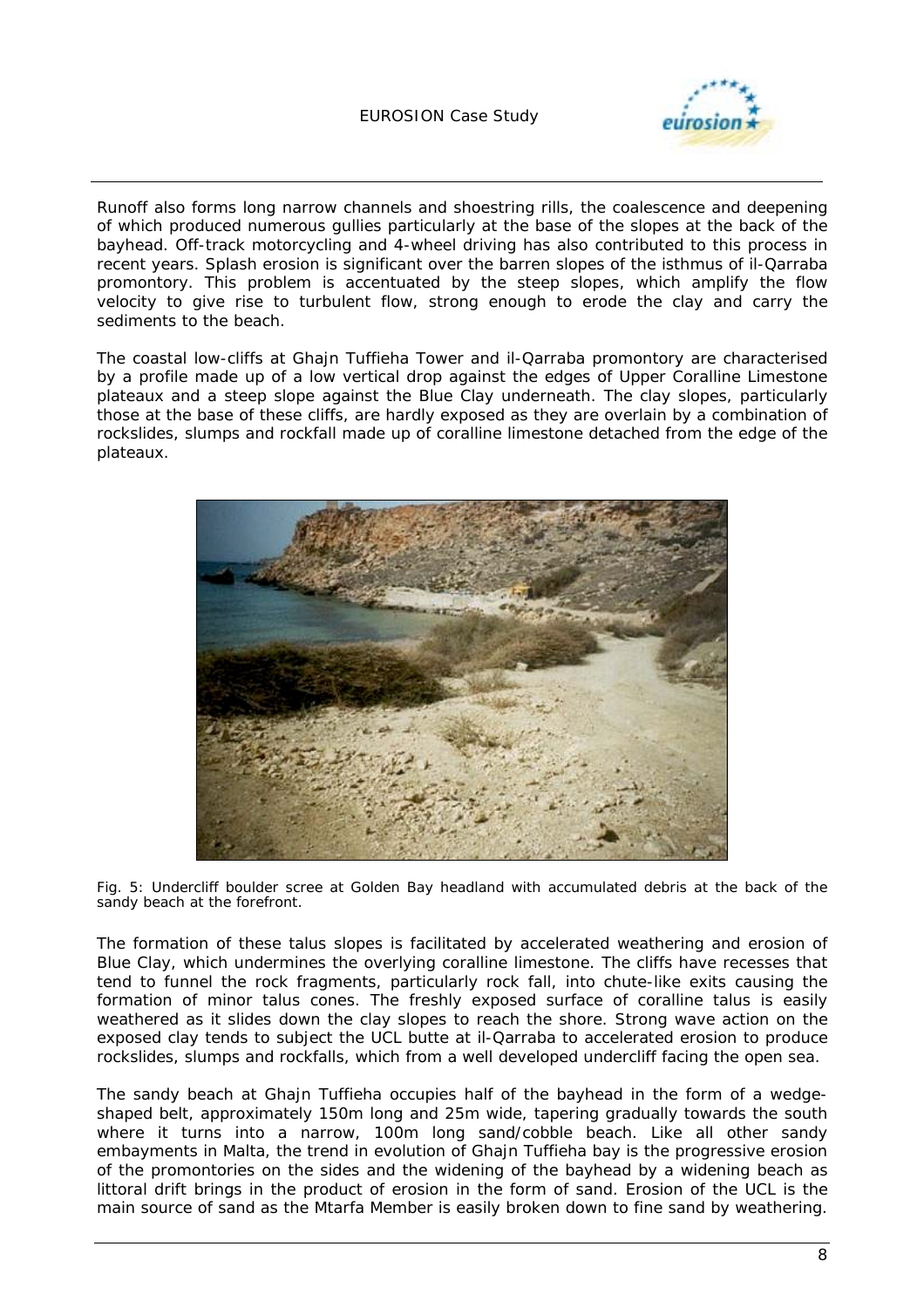

Runoff also forms long narrow channels and shoestring rills, the coalescence and deepening of which produced numerous gullies particularly at the base of the slopes at the back of the bayhead. Off-track motorcycling and 4-wheel driving has also contributed to this process in recent years. Splash erosion is significant over the barren slopes of the isthmus of il-Qarraba promontory. This problem is accentuated by the steep slopes, which amplify the flow velocity to give rise to turbulent flow, strong enough to erode the clay and carry the sediments to the beach.

The coastal low-cliffs at Ghajn Tuffieha Tower and il-Qarraba promontory are characterised by a profile made up of a low vertical drop against the edges of Upper Coralline Limestone plateaux and a steep slope against the Blue Clay underneath. The clay slopes, particularly those at the base of these cliffs, are hardly exposed as they are overlain by a combination of rockslides, slumps and rockfall made up of coralline limestone detached from the edge of the plateaux.



Fig. 5: Undercliff boulder scree at Golden Bay headland with accumulated debris at the back of the *sandy beach at the forefront.* 

The formation of these talus slopes is facilitated by accelerated weathering and erosion of Blue Clay, which undermines the overlying coralline limestone. The cliffs have recesses that tend to funnel the rock fragments, particularly rock fall, into chute-like exits causing the formation of minor talus cones. The freshly exposed surface of coralline talus is easily weathered as it slides down the clay slopes to reach the shore. Strong wave action on the exposed clay tends to subject the UCL butte at il-Qarraba to accelerated erosion to produce rockslides, slumps and rockfalls, which from a well developed undercliff facing the open sea.

The sandy beach at Ghajn Tuffieha occupies half of the bayhead in the form of a wedgeshaped belt, approximately 150m long and 25m wide, tapering gradually towards the south where it turns into a narrow, 100m long sand/cobble beach. Like all other sandy embayments in Malta, the trend in evolution of Ghain Tuffieha bay is the progressive erosion of the promontories on the sides and the widening of the bayhead by a widening beach as littoral drift brings in the product of erosion in the form of sand. Erosion of the UCL is the main source of sand as the Mtarfa Member is easily broken down to fine sand by weathering.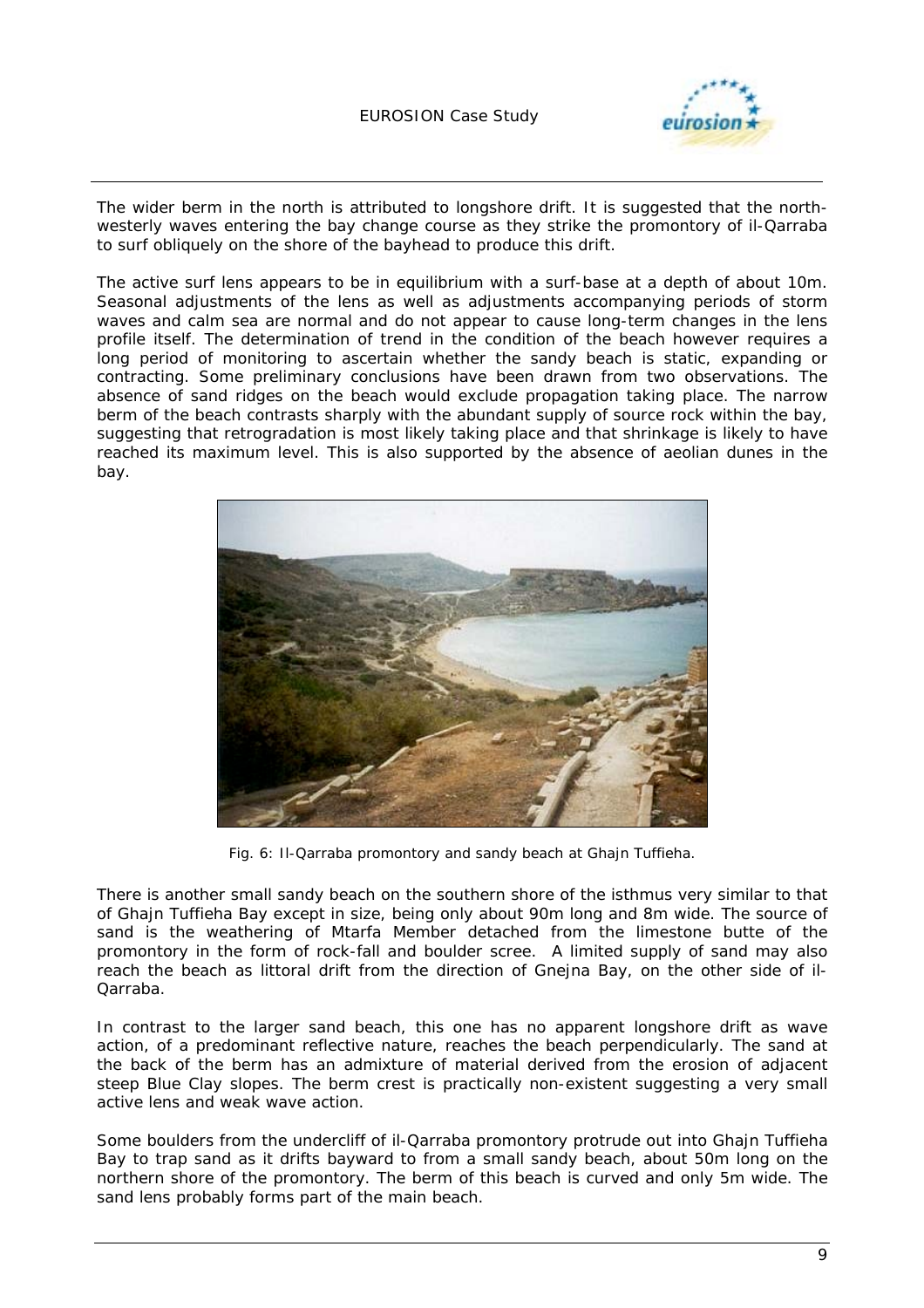

The wider berm in the north is attributed to longshore drift. It is suggested that the northwesterly waves entering the bay change course as they strike the promontory of il-Qarraba to surf obliquely on the shore of the bayhead to produce this drift.

The active surf lens appears to be in equilibrium with a surf-base at a depth of about 10m. Seasonal adjustments of the lens as well as adjustments accompanying periods of storm waves and calm sea are normal and do not appear to cause long-term changes in the lens profile itself. The determination of trend in the condition of the beach however requires a long period of monitoring to ascertain whether the sandy beach is static, expanding or contracting. Some preliminary conclusions have been drawn from two observations. The absence of sand ridges on the beach would exclude propagation taking place. The narrow berm of the beach contrasts sharply with the abundant supply of source rock within the bay, suggesting that retrogradation is most likely taking place and that shrinkage is likely to have reached its maximum level. This is also supported by the absence of aeolian dunes in the bay.



*Fig. 6: Il-Qarraba promontory and sandy beach at Ghajn Tuffieha.* 

There is another small sandy beach on the southern shore of the isthmus very similar to that of Ghajn Tuffieha Bay except in size, being only about 90m long and 8m wide. The source of sand is the weathering of Mtarfa Member detached from the limestone butte of the promontory in the form of rock-fall and boulder scree. A limited supply of sand may also reach the beach as littoral drift from the direction of Gnejna Bay, on the other side of il-Qarraba.

In contrast to the larger sand beach, this one has no apparent longshore drift as wave action, of a predominant reflective nature, reaches the beach perpendicularly. The sand at the back of the berm has an admixture of material derived from the erosion of adjacent steep Blue Clay slopes. The berm crest is practically non-existent suggesting a very small active lens and weak wave action.

Some boulders from the undercliff of il-Qarraba promontory protrude out into Ghajn Tuffieha Bay to trap sand as it drifts bayward to from a small sandy beach, about 50m long on the northern shore of the promontory. The berm of this beach is curved and only 5m wide. The sand lens probably forms part of the main beach.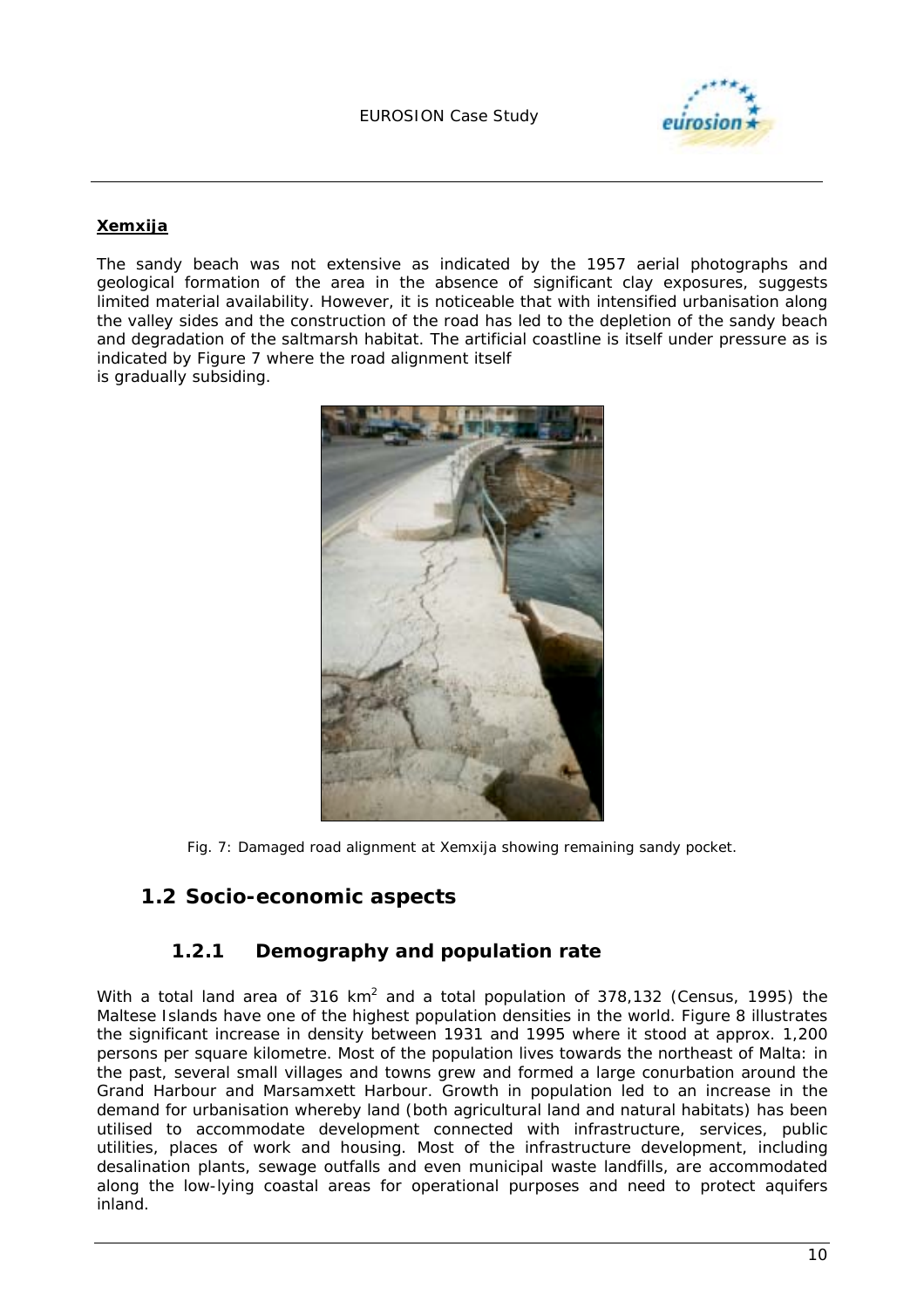

#### **Xemxija**

The sandy beach was not extensive as indicated by the 1957 aerial photographs and geological formation of the area in the absence of significant clay exposures, suggests limited material availability. However, it is noticeable that with intensified urbanisation along the valley sides and the construction of the road has led to the depletion of the sandy beach and degradation of the saltmarsh habitat. The artificial coastline is itself under pressure as is indicated by Figure 7 where the road alignment itself is gradually subsiding.



*Fig. 7: Damaged road alignment at Xemxija showing remaining sandy pocket.* 

### **1.2 Socio-economic aspects**

#### **1.2.1 Demography and population rate**

With a total land area of 316 km<sup>2</sup> and a total population of 378,132 (Census, 1995) the Maltese Islands have one of the highest population densities in the world. Figure 8 illustrates the significant increase in density between 1931 and 1995 where it stood at approx. 1,200 persons per square kilometre. Most of the population lives towards the northeast of Malta: in the past, several small villages and towns grew and formed a large conurbation around the Grand Harbour and Marsamxett Harbour. Growth in population led to an increase in the demand for urbanisation whereby land (both agricultural land and natural habitats) has been utilised to accommodate development connected with infrastructure, services, public utilities, places of work and housing. Most of the infrastructure development, including desalination plants, sewage outfalls and even municipal waste landfills, are accommodated along the low-lying coastal areas for operational purposes and need to protect aquifers inland.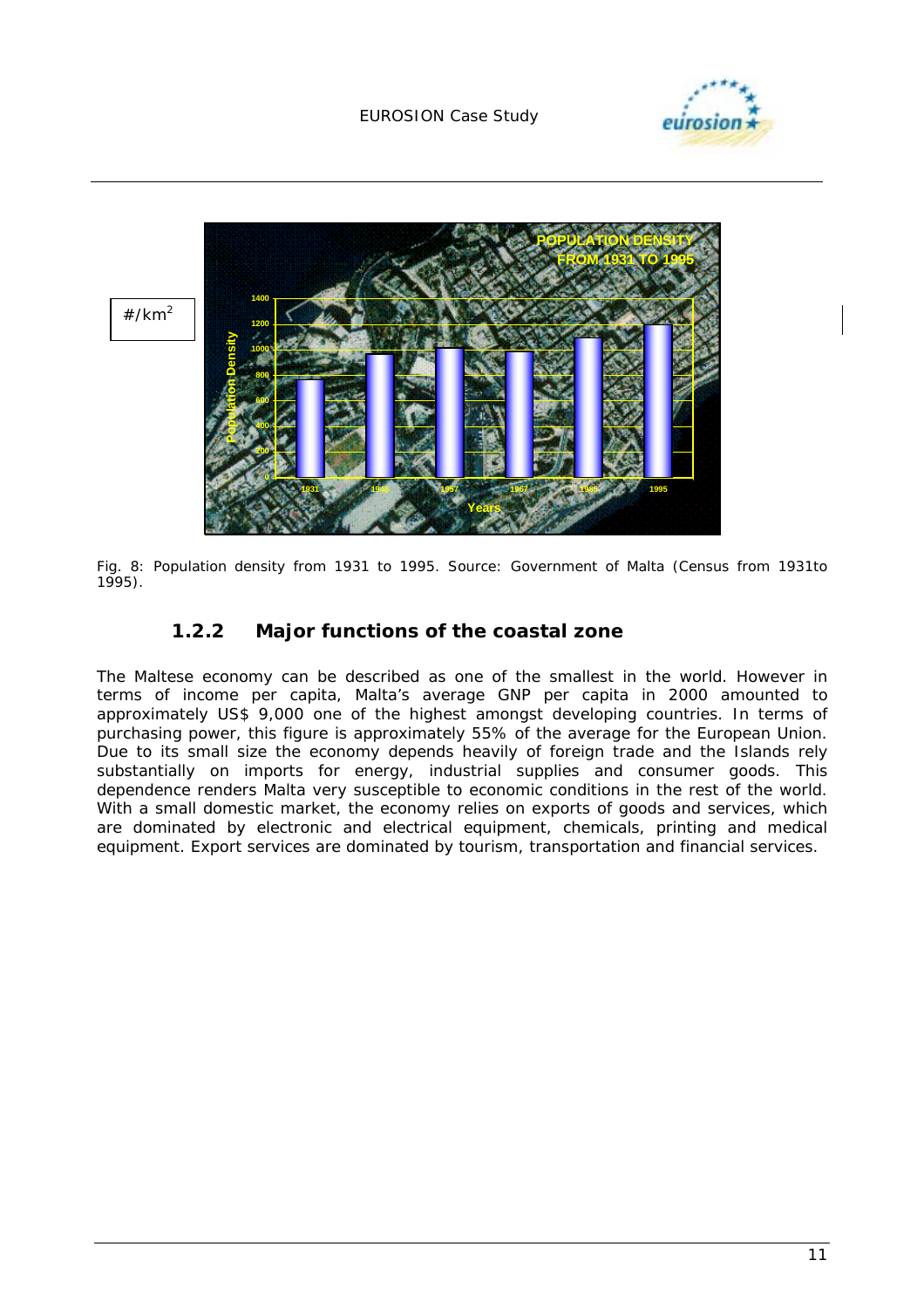



*Fig. 8: Population density from 1931 to 1995. Source: Government of Malta (Census from 1931to 1995).* 

### **1.2.2 Major functions of the coastal zone**

The Maltese economy can be described as one of the smallest in the world. However in terms of income per capita, Malta's average GNP per capita in 2000 amounted to approximately US\$ 9,000 one of the highest amongst developing countries. In terms of purchasing power, this figure is approximately 55% of the average for the European Union. Due to its small size the economy depends heavily of foreign trade and the Islands rely substantially on imports for energy, industrial supplies and consumer goods. This dependence renders Malta very susceptible to economic conditions in the rest of the world. With a small domestic market, the economy relies on exports of goods and services, which are dominated by electronic and electrical equipment, chemicals, printing and medical equipment. Export services are dominated by tourism, transportation and financial services.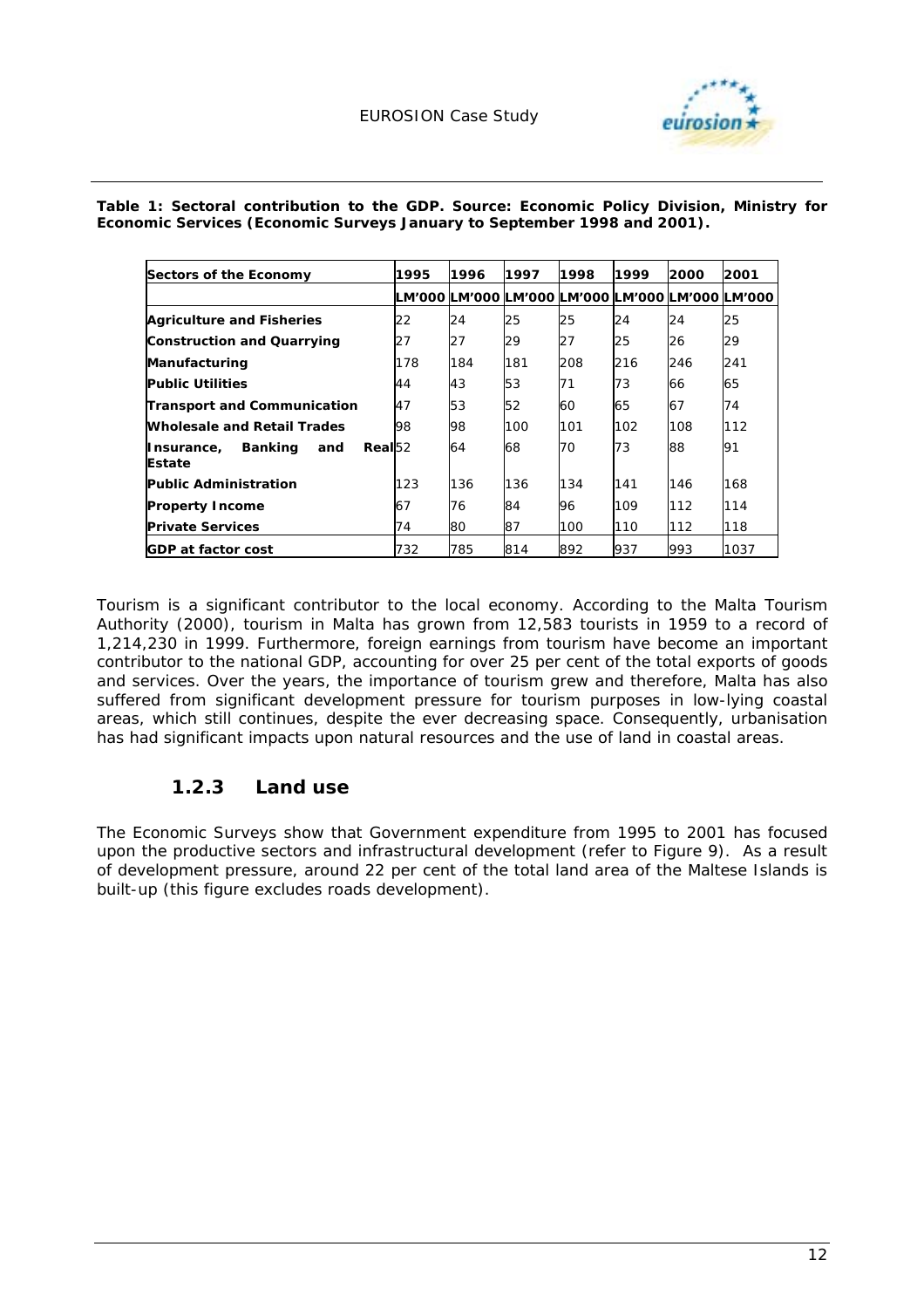

*Table 1: Sectoral contribution to the GDP. Source: Economic Policy Division, Ministry for Economic Services (Economic Surveys January to September 1998 and 2001).* 

| Sectors of the Economy                                              | 1995 | 1996                                                   | 1997 | 1998 | 1999 | 2000 | 2001 |
|---------------------------------------------------------------------|------|--------------------------------------------------------|------|------|------|------|------|
|                                                                     |      | LM'000  LM'000  LM'000  LM'000  LM'000  LM'000  LM'000 |      |      |      |      |      |
| <b>Agriculture and Fisheries</b>                                    | 22   | 24                                                     | 25   | 25   | 24   | 24   | 25   |
| <b>Construction and Quarrying</b>                                   | 27   | 27                                                     | 29   | 27   | 25   | 26   | 29   |
| <b>Manufacturing</b>                                                | 178  | 184                                                    | 181  | 208  | 216  | 246  | 241  |
| <b>Public Utilities</b>                                             | 44   | 43                                                     | 53   | 71   | 73   | 66   | 65   |
| <b>Transport and Communication</b>                                  | 47   | 53                                                     | 52   | 60   | 65   | 67   | 74   |
| <b>Wholesale and Retail Trades</b>                                  | 98   | 98                                                     | 100  | 101  | 102  | 108  | 112  |
| Real <sub>52</sub><br><b>Banking</b><br>Insurance,<br>and<br>Estate |      | 64                                                     | 68   | 70   | 73   | 88   | 91   |
| <b>Public Administration</b>                                        | 123  | 136                                                    | 136  | 134  | 141  | 146  | 168  |
| <b>Property Income</b>                                              | 67   | 76                                                     | 84   | 96   | 109  | 112  | 114  |
| <b>Private Services</b>                                             | 74   | 80                                                     | 87   | 100  | 110  | 112  | 118  |
| <b>GDP at factor cost</b>                                           | 732  | 785                                                    | 814  | 892  | 937  | 993  | 1037 |

Tourism is a significant contributor to the local economy. According to the Malta Tourism Authority (2000), tourism in Malta has grown from 12,583 tourists in 1959 to a record of 1,214,230 in 1999. Furthermore, foreign earnings from tourism have become an important contributor to the national GDP, accounting for over 25 per cent of the total exports of goods and services. Over the years, the importance of tourism grew and therefore, Malta has also suffered from significant development pressure for tourism purposes in low-lying coastal areas, which still continues, despite the ever decreasing space. Consequently, urbanisation has had significant impacts upon natural resources and the use of land in coastal areas.

### **1.2.3 Land use**

The Economic Surveys show that Government expenditure from 1995 to 2001 has focused upon the productive sectors and infrastructural development (refer to Figure 9). As a result of development pressure, around 22 per cent of the total land area of the Maltese Islands is built-up (this figure excludes roads development).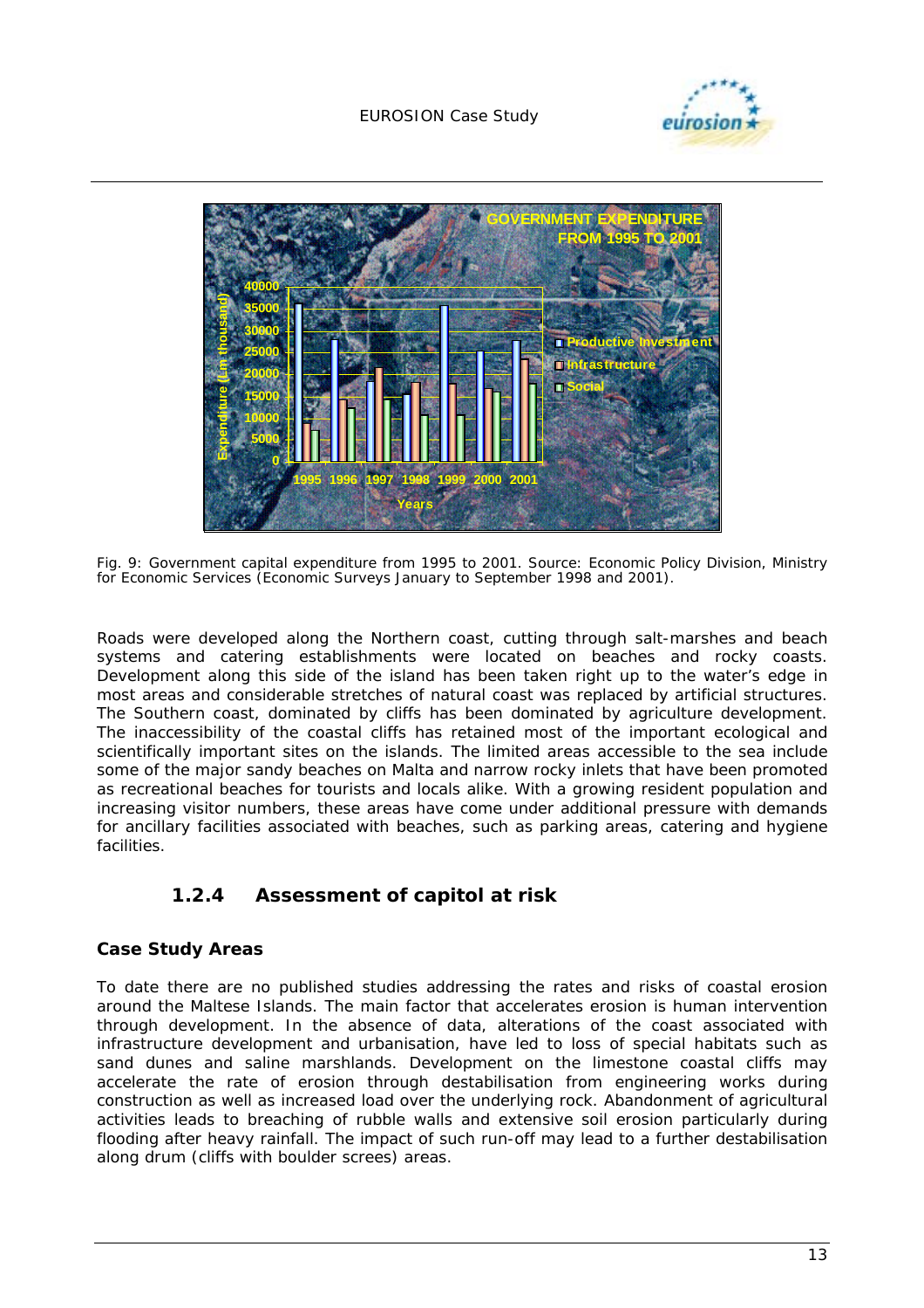



*Fig. 9: Government capital expenditure from 1995 to 2001. Source: Economic Policy Division, Ministry for Economic Services (Economic Surveys January to September 1998 and 2001).* 

Roads were developed along the Northern coast, cutting through salt-marshes and beach systems and catering establishments were located on beaches and rocky coasts. Development along this side of the island has been taken right up to the water's edge in most areas and considerable stretches of natural coast was replaced by artificial structures. The Southern coast, dominated by cliffs has been dominated by agriculture development. The inaccessibility of the coastal cliffs has retained most of the important ecological and scientifically important sites on the islands. The limited areas accessible to the sea include some of the major sandy beaches on Malta and narrow rocky inlets that have been promoted as recreational beaches for tourists and locals alike. With a growing resident population and increasing visitor numbers, these areas have come under additional pressure with demands for ancillary facilities associated with beaches, such as parking areas, catering and hygiene facilities.

### **1.2.4 Assessment of capitol at risk**

#### **Case Study Areas**

To date there are no published studies addressing the rates and risks of coastal erosion around the Maltese Islands. The main factor that accelerates erosion is human intervention through development. In the absence of data, alterations of the coast associated with infrastructure development and urbanisation, have led to loss of special habitats such as sand dunes and saline marshlands. Development on the limestone coastal cliffs may accelerate the rate of erosion through destabilisation from engineering works during construction as well as increased load over the underlying rock. Abandonment of agricultural activities leads to breaching of rubble walls and extensive soil erosion particularly during flooding after heavy rainfall. The impact of such run-off may lead to a further destabilisation along drum (cliffs with boulder screes) areas.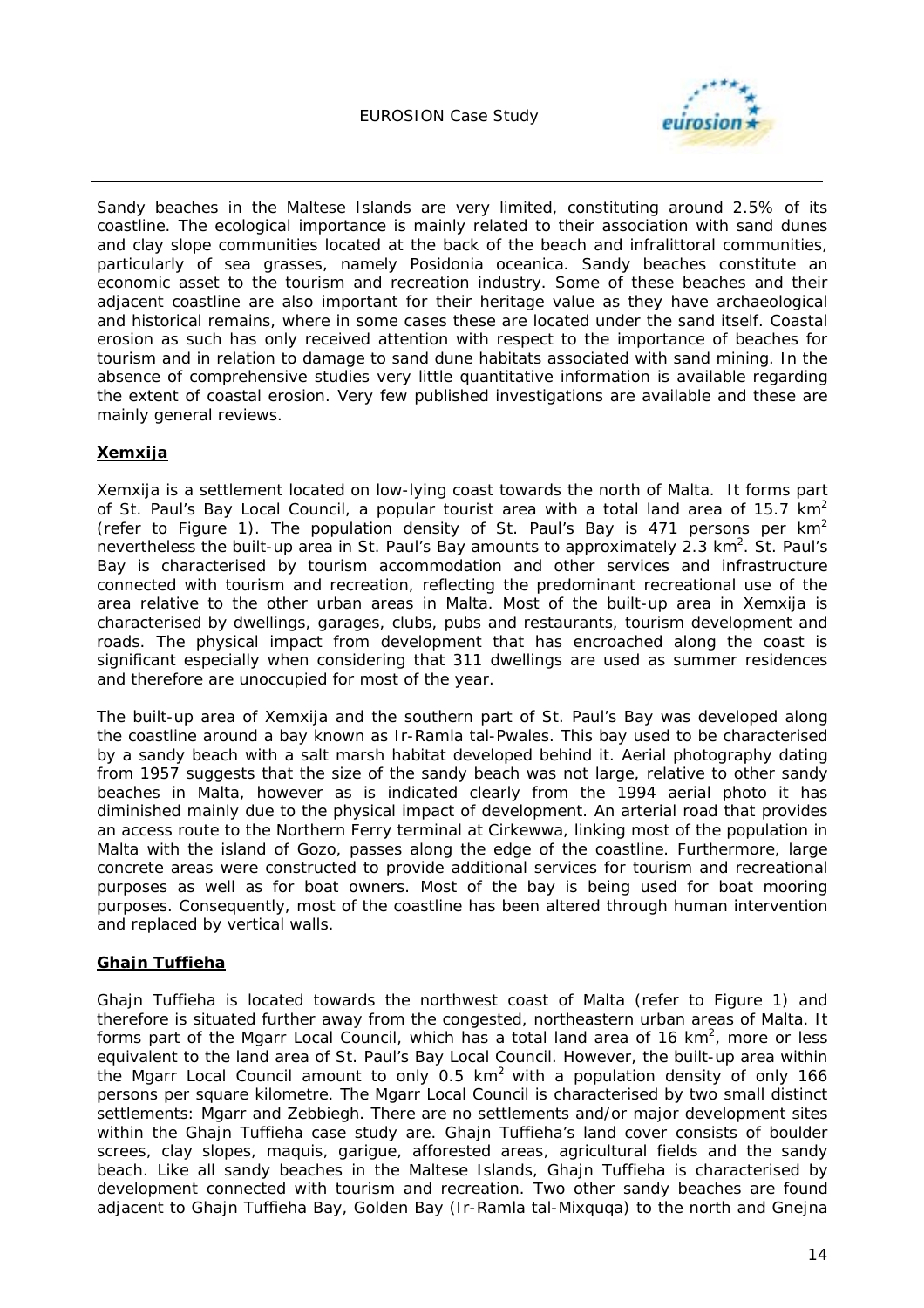

Sandy beaches in the Maltese Islands are very limited, constituting around 2.5% of its coastline. The ecological importance is mainly related to their association with sand dunes and clay slope communities located at the back of the beach and infralittoral communities, particularly of sea grasses, namely *Posidonia oceanica*. Sandy beaches constitute an economic asset to the tourism and recreation industry. Some of these beaches and their adjacent coastline are also important for their heritage value as they have archaeological and historical remains, where in some cases these are located under the sand itself. Coastal erosion as such has only received attention with respect to the importance of beaches for tourism and in relation to damage to sand dune habitats associated with sand mining. In the absence of comprehensive studies very little quantitative information is available regarding the extent of coastal erosion. Very few published investigations are available and these are mainly general reviews.

#### **Xemxija**

Xemxija is a settlement located on low-lying coast towards the north of Malta. It forms part of St. Paul's Bay Local Council, a popular tourist area with a total land area of 15.7  $km^2$ (refer to Figure 1). The population density of St. Paul's Bay is 471 persons per  $km^2$ nevertheless the built-up area in St. Paul's Bay amounts to approximately 2.3 km<sup>2</sup>. St. Paul's Bay is characterised by tourism accommodation and other services and infrastructure connected with tourism and recreation, reflecting the predominant recreational use of the area relative to the other urban areas in Malta. Most of the built-up area in Xemxija is characterised by dwellings, garages, clubs, pubs and restaurants, tourism development and roads. The physical impact from development that has encroached along the coast is significant especially when considering that 311 dwellings are used as summer residences and therefore are unoccupied for most of the year.

The built-up area of Xemxija and the southern part of St. Paul's Bay was developed along the coastline around a bay known as Ir-Ramla tal-Pwales. This bay used to be characterised by a sandy beach with a salt marsh habitat developed behind it. Aerial photography dating from 1957 suggests that the size of the sandy beach was not large, relative to other sandy beaches in Malta, however as is indicated clearly from the 1994 aerial photo it has diminished mainly due to the physical impact of development. An arterial road that provides an access route to the Northern Ferry terminal at Cirkewwa, linking most of the population in Malta with the island of Gozo, passes along the edge of the coastline. Furthermore, large concrete areas were constructed to provide additional services for tourism and recreational purposes as well as for boat owners. Most of the bay is being used for boat mooring purposes. Consequently, most of the coastline has been altered through human intervention and replaced by vertical walls.

#### **Ghajn Tuffieha**

Ghajn Tuffieha is located towards the northwest coast of Malta (refer to Figure 1) and therefore is situated further away from the congested, northeastern urban areas of Malta. It forms part of the Mgarr Local Council, which has a total land area of 16  $km^2$ , more or less equivalent to the land area of St. Paul's Bay Local Council. However, the built-up area within the Mgarr Local Council amount to only  $0.5 \text{ km}^2$  with a population density of only 166 persons per square kilometre. The Mgarr Local Council is characterised by two small distinct settlements: Mgarr and Zebbiegh. There are no settlements and/or major development sites within the Ghajn Tuffieha case study are. Ghajn Tuffieha's land cover consists of boulder screes, clay slopes, maquis, garigue, afforested areas, agricultural fields and the sandy beach. Like all sandy beaches in the Maltese Islands, Ghajn Tuffieha is characterised by development connected with tourism and recreation. Two other sandy beaches are found adjacent to Ghajn Tuffieha Bay, Golden Bay (Ir-Ramla tal-Mixquqa) to the north and Gnejna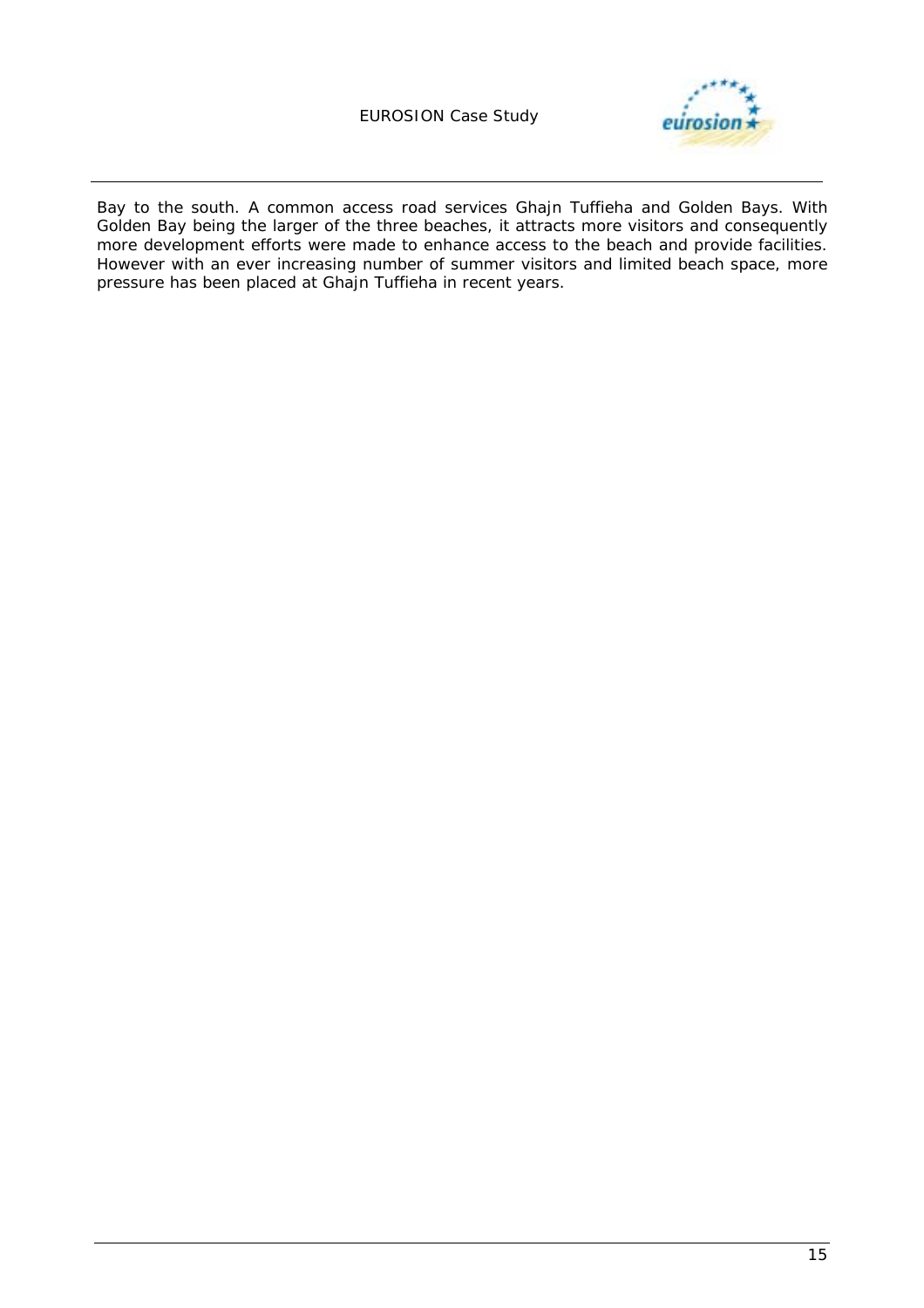#### EUROSION Case Study



Bay to the south. A common access road services Ghajn Tuffieha and Golden Bays. With Golden Bay being the larger of the three beaches, it attracts more visitors and consequently more development efforts were made to enhance access to the beach and provide facilities. However with an ever increasing number of summer visitors and limited beach space, more pressure has been placed at Ghajn Tuffieha in recent years.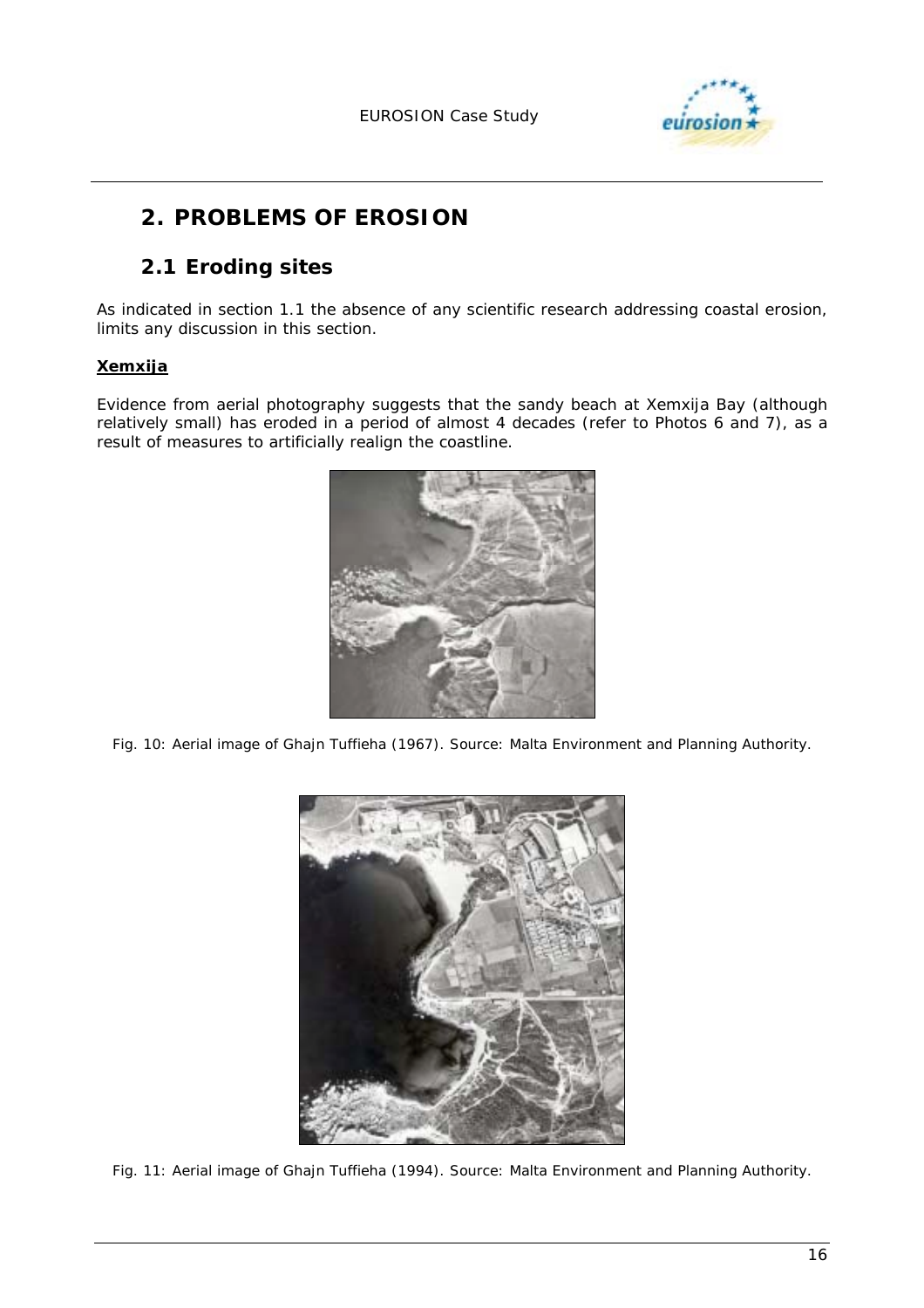

# **2. PROBLEMS OF EROSION**

### **2.1 Eroding sites**

As indicated in section 1.1 the absence of any scientific research addressing coastal erosion, limits any discussion in this section.

#### **Xemxija**

Evidence from aerial photography suggests that the sandy beach at Xemxija Bay (although relatively small) has eroded in a period of almost 4 decades (refer to Photos 6 and 7), as a result of measures to artificially realign the coastline.



*Fig. 10: Aerial image of Ghajn Tuffieha (1967). Source: Malta Environment and Planning Authority.* 



*Fig. 11: Aerial image of Ghajn Tuffieha (1994). Source: Malta Environment and Planning Authority.*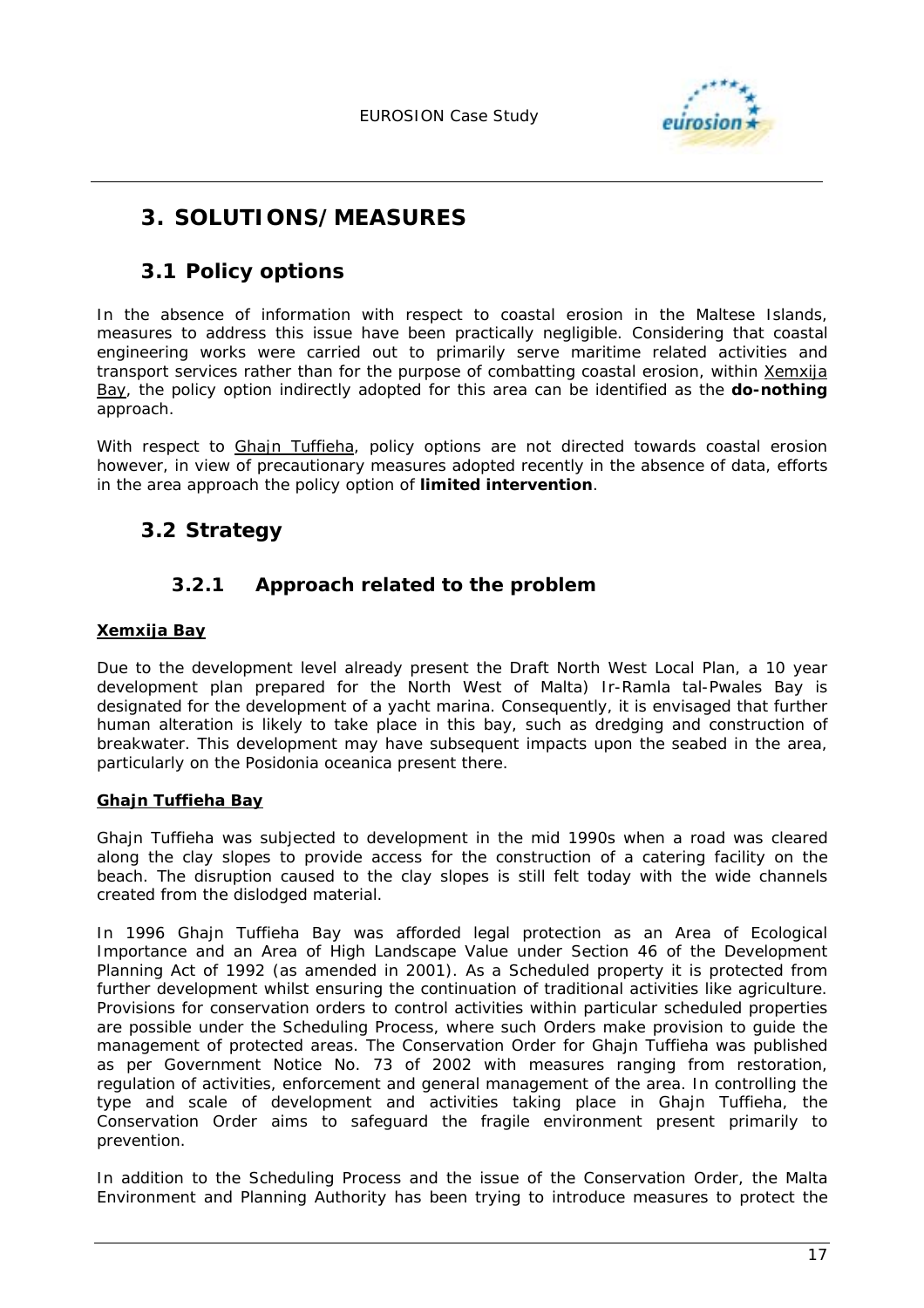

# **3. SOLUTIONS/MEASURES**

### **3.1 Policy options**

In the absence of information with respect to coastal erosion in the Maltese Islands, measures to address this issue have been practically negligible. Considering that coastal engineering works were carried out to primarily serve maritime related activities and transport services rather than for the purpose of combatting coastal erosion, within Xemxija Bay, the policy option indirectly adopted for this area can be identified as the **do-nothing**  approach.

With respect to Ghajn Tuffieha, policy options are not directed towards coastal erosion however, in view of precautionary measures adopted recently in the absence of data, efforts in the area approach the policy option of *limited intervention*.

### **3.2 Strategy**

### **3.2.1 Approach related to the problem**

#### **Xemxija Bay**

Due to the development level already present the Draft North West Local Plan, a 10 year development plan prepared for the North West of Malta) Ir-Ramla tal-Pwales Bay is designated for the development of a yacht marina. Consequently, it is envisaged that further human alteration is likely to take place in this bay, such as dredging and construction of breakwater. This development may have subsequent impacts upon the seabed in the area, particularly on the *Posidonia oceanica* present there.

#### **Ghajn Tuffieha Bay**

Ghajn Tuffieha was subjected to development in the mid 1990s when a road was cleared along the clay slopes to provide access for the construction of a catering facility on the beach. The disruption caused to the clay slopes is still felt today with the wide channels created from the dislodged material.

In 1996 Ghajn Tuffieha Bay was afforded legal protection as an Area of Ecological Importance and an Area of High Landscape Value under Section 46 of the Development Planning Act of 1992 (as amended in 2001). As a Scheduled property it is protected from further development whilst ensuring the continuation of traditional activities like agriculture. Provisions for conservation orders to control activities within particular scheduled properties are possible under the Scheduling Process, where such Orders make provision to guide the management of protected areas. The Conservation Order for Ghajn Tuffieha was published as per Government Notice No. 73 of 2002 with measures ranging from restoration, regulation of activities, enforcement and general management of the area. In controlling the type and scale of development and activities taking place in Ghajn Tuffieha, the Conservation Order aims to safeguard the fragile environment present primarily to prevention.

In addition to the Scheduling Process and the issue of the Conservation Order, the Malta Environment and Planning Authority has been trying to introduce measures to protect the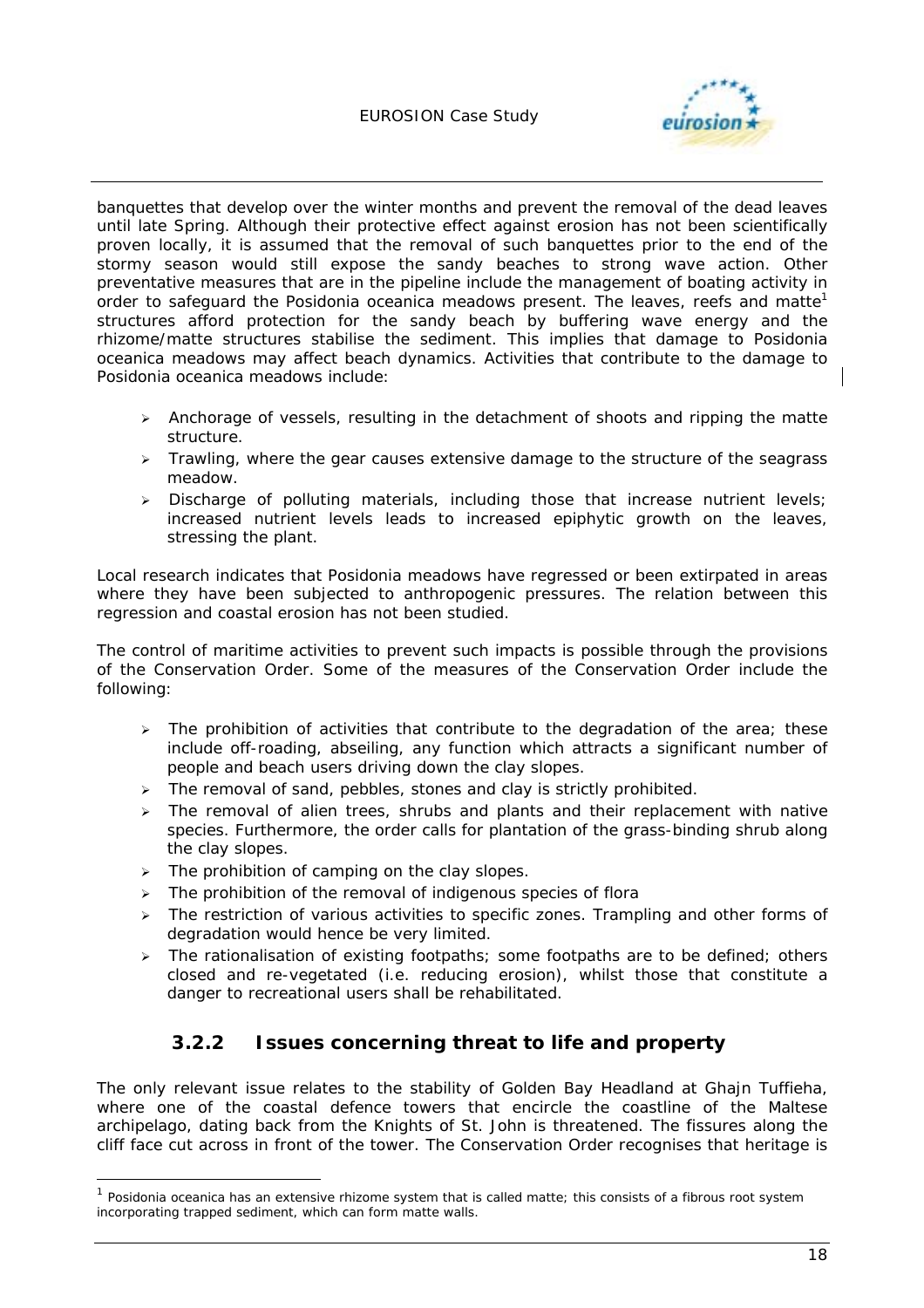

banquettes that develop over the winter months and prevent the removal of the dead leaves until late Spring. Although their protective effect against erosion has not been scientifically proven locally, it is assumed that the removal of such banquettes prior to the end of the stormy season would still expose the sandy beaches to strong wave action. Other preventative measures that are in the pipeline include the management of boating activity in order to safequard the *Posidonia oceanica* meadows present. The leaves, reefs and matte<sup>1</sup> structures afford protection for the sandy beach by buffering wave energy and the rhizome/matte structures stabilise the sediment. This implies that damage to *Posidonia oceanica* meadows may affect beach dynamics. Activities that contribute to the damage to *Posidonia oceanica* meadows include:

- $\triangleright$  Anchorage of vessels, resulting in the detachment of shoots and ripping the matte structure.
- $\triangleright$  Trawling, where the gear causes extensive damage to the structure of the seagrass meadow.
- > Discharge of polluting materials, including those that increase nutrient levels; increased nutrient levels leads to increased epiphytic growth on the leaves, stressing the plant.

Local research indicates that *Posidonia* meadows have regressed or been extirpated in areas where they have been subjected to anthropogenic pressures. The relation between this regression and coastal erosion has not been studied.

The control of maritime activities to prevent such impacts is possible through the provisions of the Conservation Order. Some of the measures of the Conservation Order include the following:

- $\triangleright$  The prohibition of activities that contribute to the degradation of the area; these include off-roading, abseiling, any function which attracts a significant number of people and beach users driving down the clay slopes.
- $\triangleright$  The removal of sand, pebbles, stones and clay is strictly prohibited.
- $\geq$  The removal of alien trees, shrubs and plants and their replacement with native species. Furthermore, the order calls for plantation of the grass-binding shrub along the clay slopes.
- $\triangleright$  The prohibition of camping on the clay slopes.

1

- $\triangleright$  The prohibition of the removal of indigenous species of flora
- $\geq$  The restriction of various activities to specific zones. Trampling and other forms of degradation would hence be very limited.
- $\triangleright$  The rationalisation of existing footpaths; some footpaths are to be defined; others closed and re-vegetated (i.e. reducing erosion), whilst those that constitute a danger to recreational users shall be rehabilitated.

### **3.2.2 Issues concerning threat to life and property**

The only relevant issue relates to the stability of Golden Bay Headland at Ghajn Tuffieha, where one of the coastal defence towers that encircle the coastline of the Maltese archipelago, dating back from the Knights of St. John is threatened. The fissures along the cliff face cut across in front of the tower. The Conservation Order recognises that heritage is

<sup>1</sup> *Posidonia oceanica* has an extensive rhizome system that is called matte; this consists of a fibrous root system incorporating trapped sediment, which can form matte walls.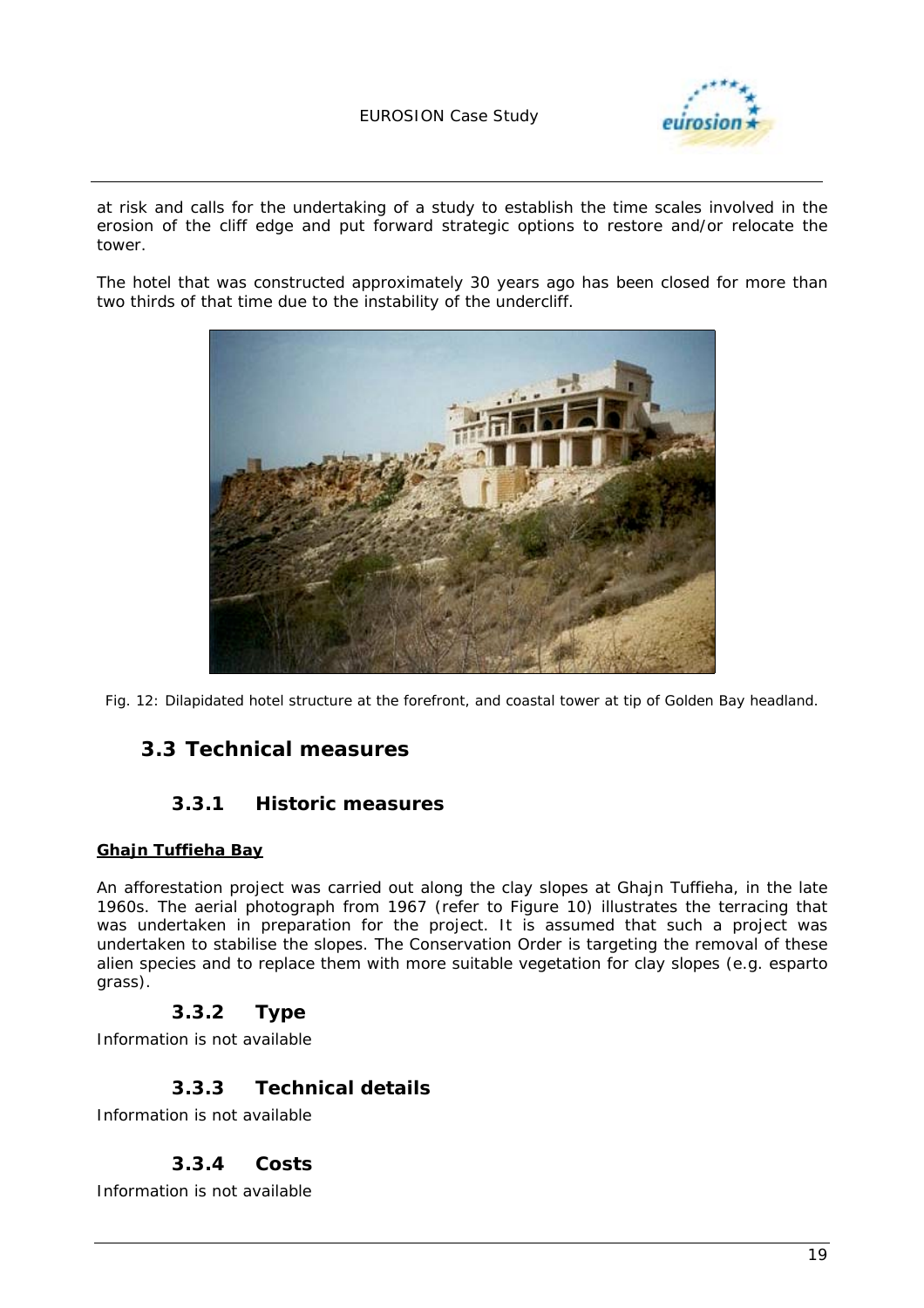

at risk and calls for the undertaking of a study to establish the time scales involved in the erosion of the cliff edge and put forward strategic options to restore and/or relocate the tower.

The hotel that was constructed approximately 30 years ago has been closed for more than two thirds of that time due to the instability of the undercliff.



*Fig. 12: Dilapidated hotel structure at the forefront, and coastal tower at tip of Golden Bay headland.* 

### **3.3 Technical measures**

#### **3.3.1 Historic measures**

#### **Ghajn Tuffieha Bay**

An afforestation project was carried out along the clay slopes at Ghajn Tuffieha, in the late 1960s. The aerial photograph from 1967 (refer to Figure 10) illustrates the terracing that was undertaken in preparation for the project. It is assumed that such a project was undertaken to stabilise the slopes. The Conservation Order is targeting the removal of these alien species and to replace them with more suitable vegetation for clay slopes (e.g. esparto grass).

#### **3.3.2 Type**

Information is not available

### **3.3.3 Technical details**

Information is not available

#### **3.3.4 Costs**

Information is not available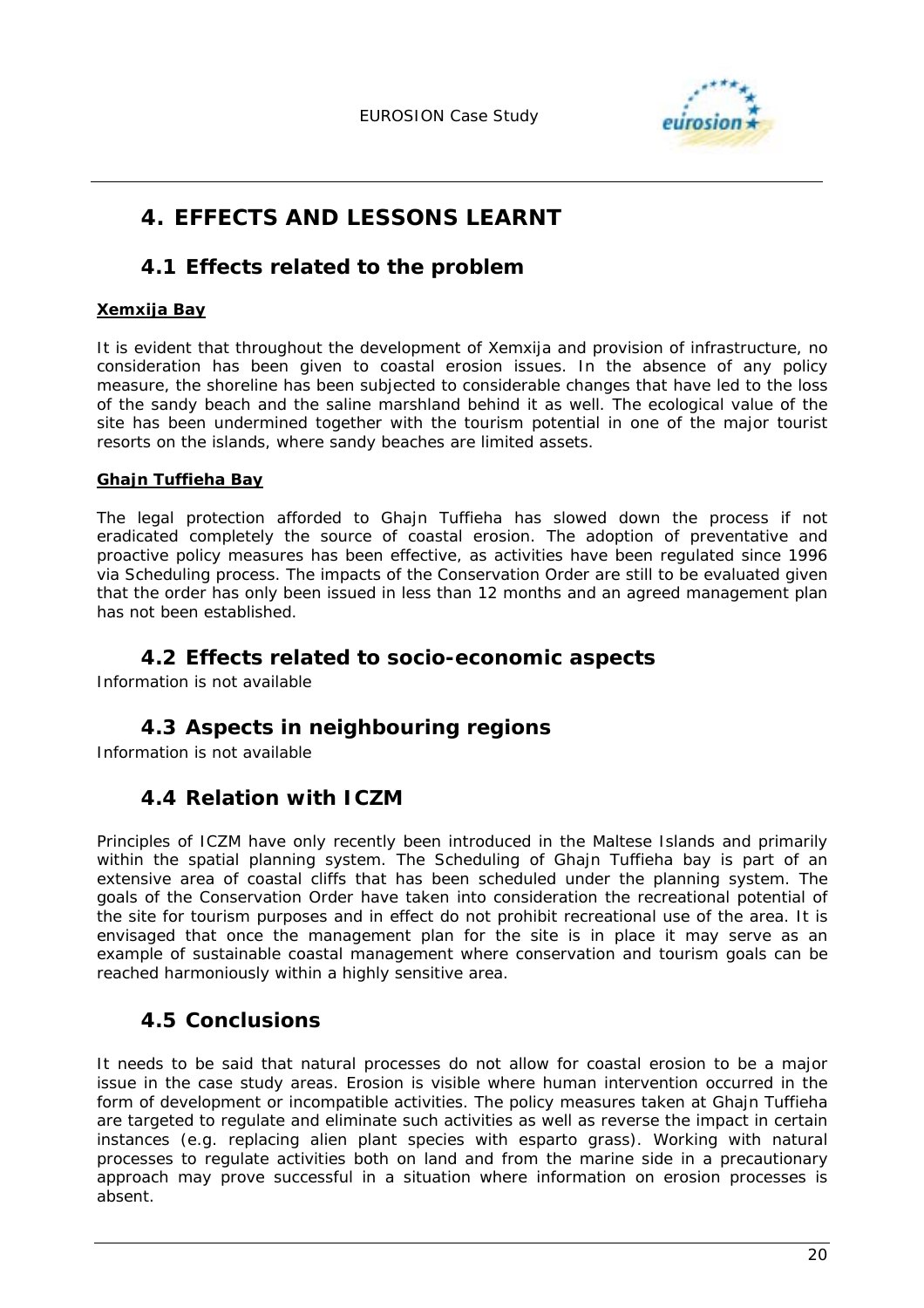

# **4. EFFECTS AND LESSONS LEARNT**

### **4.1 Effects related to the problem**

#### **Xemxija Bay**

It is evident that throughout the development of Xemxija and provision of infrastructure, no consideration has been given to coastal erosion issues. In the absence of any policy measure, the shoreline has been subjected to considerable changes that have led to the loss of the sandy beach and the saline marshland behind it as well. The ecological value of the site has been undermined together with the tourism potential in one of the major tourist resorts on the islands, where sandy beaches are limited assets.

#### **Ghajn Tuffieha Bay**

The legal protection afforded to Ghajn Tuffieha has slowed down the process if not eradicated completely the source of coastal erosion. The adoption of preventative and proactive policy measures has been effective, as activities have been regulated since 1996 via Scheduling process. The impacts of the Conservation Order are still to be evaluated given that the order has only been issued in less than 12 months and an agreed management plan has not been established.

### **4.2 Effects related to socio-economic aspects**

Information is not available

## **4.3 Aspects in neighbouring regions**

Information is not available

### **4.4 Relation with ICZM**

Principles of ICZM have only recently been introduced in the Maltese Islands and primarily within the spatial planning system. The Scheduling of Ghajn Tuffieha bay is part of an extensive area of coastal cliffs that has been scheduled under the planning system. The goals of the Conservation Order have taken into consideration the recreational potential of the site for tourism purposes and in effect do not prohibit recreational use of the area. It is envisaged that once the management plan for the site is in place it may serve as an example of sustainable coastal management where conservation and tourism goals can be reached harmoniously within a highly sensitive area.

### **4.5 Conclusions**

It needs to be said that natural processes do not allow for coastal erosion to be a major issue in the case study areas. Erosion is visible where human intervention occurred in the form of development or incompatible activities. The policy measures taken at Ghajn Tuffieha are targeted to regulate and eliminate such activities as well as reverse the impact in certain instances (e.g. replacing alien plant species with esparto grass). Working with natural processes to regulate activities both on land and from the marine side in a precautionary approach may prove successful in a situation where information on erosion processes is absent.